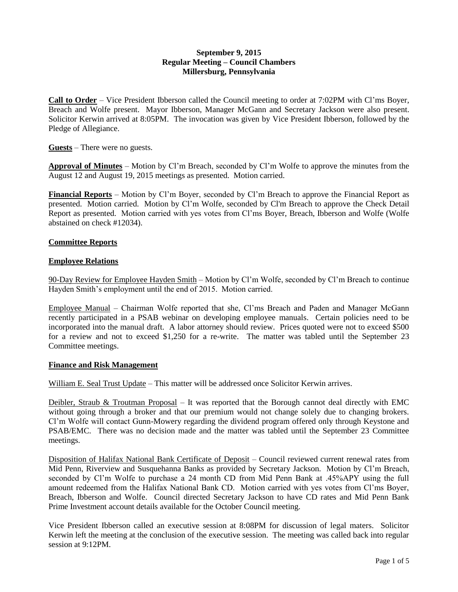## **September 9, 2015 Regular Meeting – Council Chambers Millersburg, Pennsylvania**

**Call to Order** – Vice President Ibberson called the Council meeting to order at 7:02PM with Cl'ms Boyer, Breach and Wolfe present. Mayor Ibberson, Manager McGann and Secretary Jackson were also present. Solicitor Kerwin arrived at 8:05PM. The invocation was given by Vice President Ibberson, followed by the Pledge of Allegiance.

**Guests** – There were no guests.

**Approval of Minutes** – Motion by Cl'm Breach, seconded by Cl'm Wolfe to approve the minutes from the August 12 and August 19, 2015 meetings as presented. Motion carried.

**Financial Reports** – Motion by Cl'm Boyer, seconded by Cl'm Breach to approve the Financial Report as presented. Motion carried. Motion by Cl'm Wolfe, seconded by Cl'm Breach to approve the Check Detail Report as presented. Motion carried with yes votes from Cl'ms Boyer, Breach, Ibberson and Wolfe (Wolfe abstained on check #12034).

# **Committee Reports**

# **Employee Relations**

90-Day Review for Employee Hayden Smith – Motion by Cl'm Wolfe, seconded by Cl'm Breach to continue Hayden Smith's employment until the end of 2015. Motion carried.

Employee Manual – Chairman Wolfe reported that she, Cl'ms Breach and Paden and Manager McGann recently participated in a PSAB webinar on developing employee manuals. Certain policies need to be incorporated into the manual draft. A labor attorney should review. Prices quoted were not to exceed \$500 for a review and not to exceed \$1,250 for a re-write. The matter was tabled until the September 23 Committee meetings.

## **Finance and Risk Management**

William E. Seal Trust Update – This matter will be addressed once Solicitor Kerwin arrives.

Deibler, Straub & Troutman Proposal – It was reported that the Borough cannot deal directly with EMC without going through a broker and that our premium would not change solely due to changing brokers. Cl'm Wolfe will contact Gunn-Mowery regarding the dividend program offered only through Keystone and PSAB/EMC. There was no decision made and the matter was tabled until the September 23 Committee meetings.

Disposition of Halifax National Bank Certificate of Deposit – Council reviewed current renewal rates from Mid Penn, Riverview and Susquehanna Banks as provided by Secretary Jackson. Motion by Cl'm Breach, seconded by Cl'm Wolfe to purchase a 24 month CD from Mid Penn Bank at .45%APY using the full amount redeemed from the Halifax National Bank CD. Motion carried with yes votes from Cl'ms Boyer, Breach, Ibberson and Wolfe. Council directed Secretary Jackson to have CD rates and Mid Penn Bank Prime Investment account details available for the October Council meeting.

Vice President Ibberson called an executive session at 8:08PM for discussion of legal maters. Solicitor Kerwin left the meeting at the conclusion of the executive session. The meeting was called back into regular session at 9:12PM.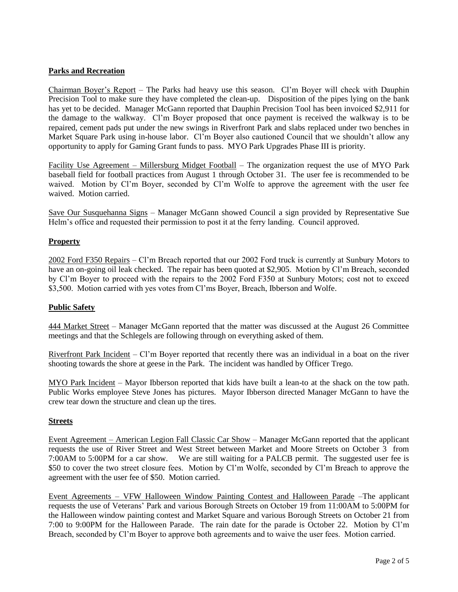# **Parks and Recreation**

Chairman Boyer's Report – The Parks had heavy use this season. Cl'm Boyer will check with Dauphin Precision Tool to make sure they have completed the clean-up. Disposition of the pipes lying on the bank has yet to be decided. Manager McGann reported that Dauphin Precision Tool has been invoiced \$2,911 for the damage to the walkway. Cl'm Boyer proposed that once payment is received the walkway is to be repaired, cement pads put under the new swings in Riverfront Park and slabs replaced under two benches in Market Square Park using in-house labor. Cl'm Boyer also cautioned Council that we shouldn't allow any opportunity to apply for Gaming Grant funds to pass. MYO Park Upgrades Phase III is priority.

Facility Use Agreement – Millersburg Midget Football – The organization request the use of MYO Park baseball field for football practices from August 1 through October 31. The user fee is recommended to be waived. Motion by Cl'm Boyer, seconded by Cl'm Wolfe to approve the agreement with the user fee waived. Motion carried.

Save Our Susquehanna Signs – Manager McGann showed Council a sign provided by Representative Sue Helm's office and requested their permission to post it at the ferry landing. Council approved.

## **Property**

2002 Ford F350 Repairs – Cl'm Breach reported that our 2002 Ford truck is currently at Sunbury Motors to have an on-going oil leak checked. The repair has been quoted at \$2,905. Motion by Cl'm Breach, seconded by Cl'm Boyer to proceed with the repairs to the 2002 Ford F350 at Sunbury Motors; cost not to exceed \$3,500. Motion carried with yes votes from Cl'ms Boyer, Breach, Ibberson and Wolfe.

## **Public Safety**

444 Market Street – Manager McGann reported that the matter was discussed at the August 26 Committee meetings and that the Schlegels are following through on everything asked of them.

Riverfront Park Incident – Cl'm Boyer reported that recently there was an individual in a boat on the river shooting towards the shore at geese in the Park. The incident was handled by Officer Trego.

MYO Park Incident – Mayor Ibberson reported that kids have built a lean-to at the shack on the tow path. Public Works employee Steve Jones has pictures. Mayor Ibberson directed Manager McGann to have the crew tear down the structure and clean up the tires.

## **Streets**

Event Agreement – American Legion Fall Classic Car Show – Manager McGann reported that the applicant requests the use of River Street and West Street between Market and Moore Streets on October 3 from 7:00AM to 5:00PM for a car show. We are still waiting for a PALCB permit. The suggested user fee is \$50 to cover the two street closure fees. Motion by Cl'm Wolfe, seconded by Cl'm Breach to approve the agreement with the user fee of \$50. Motion carried.

Event Agreements – VFW Halloween Window Painting Contest and Halloween Parade –The applicant requests the use of Veterans' Park and various Borough Streets on October 19 from 11:00AM to 5:00PM for the Halloween window painting contest and Market Square and various Borough Streets on October 21 from 7:00 to 9:00PM for the Halloween Parade. The rain date for the parade is October 22. Motion by Cl'm Breach, seconded by Cl'm Boyer to approve both agreements and to waive the user fees. Motion carried.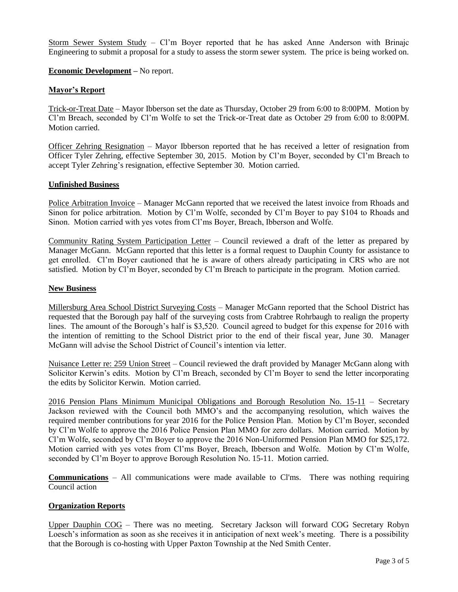Storm Sewer System Study – Cl'm Boyer reported that he has asked Anne Anderson with Brinajc Engineering to submit a proposal for a study to assess the storm sewer system. The price is being worked on.

### **Economic Development –** No report.

## **Mayor's Report**

Trick-or-Treat Date – Mayor Ibberson set the date as Thursday, October 29 from 6:00 to 8:00PM. Motion by Cl'm Breach, seconded by Cl'm Wolfe to set the Trick-or-Treat date as October 29 from 6:00 to 8:00PM. Motion carried.

Officer Zehring Resignation – Mayor Ibberson reported that he has received a letter of resignation from Officer Tyler Zehring, effective September 30, 2015. Motion by Cl'm Boyer, seconded by Cl'm Breach to accept Tyler Zehring's resignation, effective September 30. Motion carried.

## **Unfinished Business**

Police Arbitration Invoice – Manager McGann reported that we received the latest invoice from Rhoads and Sinon for police arbitration. Motion by Cl'm Wolfe, seconded by Cl'm Boyer to pay \$104 to Rhoads and Sinon. Motion carried with yes votes from Cl'ms Boyer, Breach, Ibberson and Wolfe.

Community Rating System Participation Letter – Council reviewed a draft of the letter as prepared by Manager McGann. McGann reported that this letter is a formal request to Dauphin County for assistance to get enrolled. Cl'm Boyer cautioned that he is aware of others already participating in CRS who are not satisfied. Motion by Cl'm Boyer, seconded by Cl'm Breach to participate in the program. Motion carried.

#### **New Business**

Millersburg Area School District Surveying Costs – Manager McGann reported that the School District has requested that the Borough pay half of the surveying costs from Crabtree Rohrbaugh to realign the property lines. The amount of the Borough's half is \$3,520. Council agreed to budget for this expense for 2016 with the intention of remitting to the School District prior to the end of their fiscal year, June 30. Manager McGann will advise the School District of Council's intention via letter.

Nuisance Letter re: 259 Union Street – Council reviewed the draft provided by Manager McGann along with Solicitor Kerwin's edits. Motion by Cl'm Breach, seconded by Cl'm Boyer to send the letter incorporating the edits by Solicitor Kerwin. Motion carried.

2016 Pension Plans Minimum Municipal Obligations and Borough Resolution No. 15-11 – Secretary Jackson reviewed with the Council both MMO's and the accompanying resolution, which waives the required member contributions for year 2016 for the Police Pension Plan. Motion by Cl'm Boyer, seconded by Cl'm Wolfe to approve the 2016 Police Pension Plan MMO for zero dollars. Motion carried. Motion by Cl'm Wolfe, seconded by Cl'm Boyer to approve the 2016 Non-Uniformed Pension Plan MMO for \$25,172. Motion carried with yes votes from Cl'ms Boyer, Breach, Ibberson and Wolfe. Motion by Cl'm Wolfe, seconded by Cl'm Boyer to approve Borough Resolution No. 15-11. Motion carried.

**Communications** – All communications were made available to Cl'ms. There was nothing requiring Council action

## **Organization Reports**

Upper Dauphin COG – There was no meeting. Secretary Jackson will forward COG Secretary Robyn Loesch's information as soon as she receives it in anticipation of next week's meeting. There is a possibility that the Borough is co-hosting with Upper Paxton Township at the Ned Smith Center.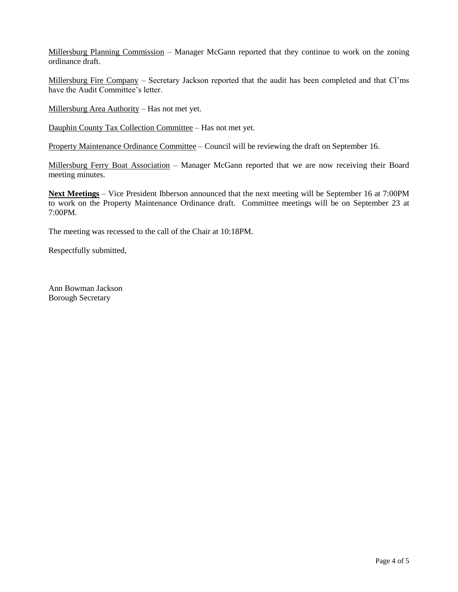Millersburg Planning Commission – Manager McGann reported that they continue to work on the zoning ordinance draft.

Millersburg Fire Company – Secretary Jackson reported that the audit has been completed and that Cl'ms have the Audit Committee's letter.

Millersburg Area Authority – Has not met yet.

Dauphin County Tax Collection Committee – Has not met yet.

Property Maintenance Ordinance Committee – Council will be reviewing the draft on September 16.

Millersburg Ferry Boat Association – Manager McGann reported that we are now receiving their Board meeting minutes.

**Next Meetings** – Vice President Ibberson announced that the next meeting will be September 16 at 7:00PM to work on the Property Maintenance Ordinance draft. Committee meetings will be on September 23 at 7:00PM.

The meeting was recessed to the call of the Chair at 10:18PM.

Respectfully submitted,

Ann Bowman Jackson Borough Secretary